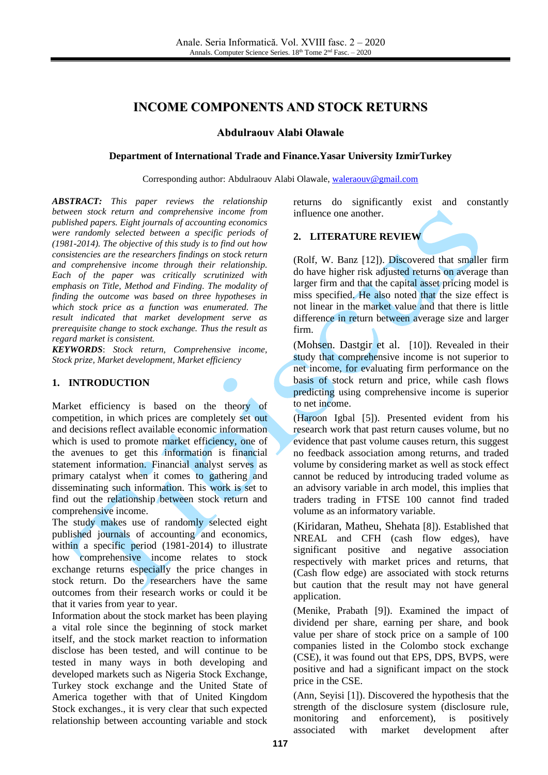# **INCOME COMPONENTS AND STOCK RETURNS**

#### **Abdulraouv Alabi Olawale**

#### **Department of International Trade and Finance.Yasar University IzmirTurkey**

Corresponding author: Abdulraouv Alabi Olawale, [waleraouv@gmail.com](mailto:waleraouv@gmail.com)

*ABSTRACT: This paper reviews the relationship between stock return and comprehensive income from published papers. Eight journals of accounting economics were randomly selected between a specific periods of (1981-2014). The objective of this study is to find out how consistencies are the researchers findings on stock return and comprehensive income through their relationship. Each of the paper was critically scrutinized with emphasis on Title, Method and Finding. The modality of finding the outcome was based on three hypotheses in which stock price as a function was enumerated. The result indicated that market development serve as prerequisite change to stock exchange. Thus the result as regard market is consistent.*

*KEYWORDS*: *Stock return, Comprehensive income, Stock prize, Market development, Market efficiency*

#### **1. INTRODUCTION**

Market efficiency is based on the theory of competition, in which prices are completely set out and decisions reflect available economic information which is used to promote market efficiency, one of the avenues to get this information is financial statement information. Financial analyst serves as primary catalyst when it comes to gathering and disseminating such information. This work is set to find out the relationship between stock return and comprehensive income.

The study makes use of randomly selected eight published journals of accounting and economics, within a specific period (1981-2014) to illustrate how comprehensive income relates to stock exchange returns especially the price changes in stock return. Do the researchers have the same outcomes from their research works or could it be that it varies from year to year.

Information about the stock market has been playing a vital role since the beginning of stock market itself, and the stock market reaction to information disclose has been tested, and will continue to be tested in many ways in both developing and developed markets such as Nigeria Stock Exchange, Turkey stock exchange and the United State of America together with that of United Kingdom Stock exchanges., it is very clear that such expected relationship between accounting variable and stock returns do significantly exist and constantly influence one another.

### **2. LITERATURE REVIEW**

(Rolf, W. Banz [\[12\]\)](#page-4-0). Discovered that smaller firm do have higher risk adjusted returns on average than larger firm and that the capital asset pricing model is miss specified. He also noted that the size effect is not linear in the market value and that there is little difference in return between average size and larger firm.

(Mohsen. Dastgir et al. [\[10\]\)](#page-4-1). Revealed in their study that comprehensive income is not superior to net income, for evaluating firm performance on the basis of stock return and price, while cash flows predicting using comprehensive income is superior to net income.

(Haroon Igbal [\[5\]\)](#page-4-2). Presented evident from his research work that past return causes volume, but no evidence that past volume causes return, this suggest no feedback association among returns, and traded volume by considering market as well as stock effect cannot be reduced by introducing traded volume as an advisory variable in arch model, this implies that traders trading in FTSE 100 cannot find traded volume as an informatory variable.

(Kiridaran, Matheu, Shehata [\[8\]\)](#page-4-3). Established that NREAL and CFH (cash flow edges), have significant positive and negative association respectively with market prices and returns, that (Cash flow edge) are associated with stock returns but caution that the result may not have general application.

(Menike, Prabath [\[9\]\)](#page-4-4). Examined the impact of dividend per share, earning per share, and book value per share of stock price on a sample of 100 companies listed in the Colombo stock exchange (CSE), it was found out that EPS, DPS, BVPS, were positive and had a significant impact on the stock price in the CSE.

(Ann, Seyisi [\[1\]\)](#page-4-5). Discovered the hypothesis that the strength of the disclosure system (disclosure rule, monitoring and enforcement), is positively associated with market development after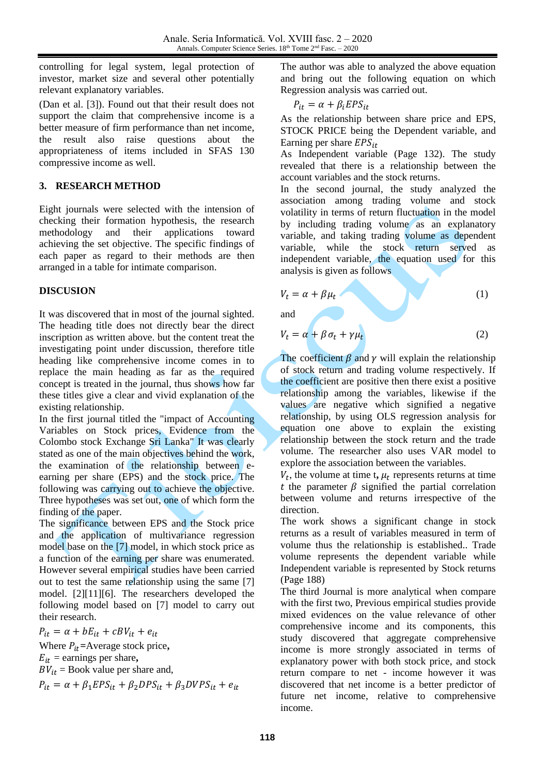controlling for legal system, legal protection of investor, market size and several other potentially relevant explanatory variables.

(Dan et al. [\[3\]\)](#page-4-6). Found out that their result does not support the claim that comprehensive income is a better measure of firm performance than net income, the result also raise questions about the appropriateness of items included in SFAS 130 compressive income as well.

### **3. RESEARCH METHOD**

Eight journals were selected with the intension of checking their formation hypothesis, the research methodology and their applications toward achieving the set objective. The specific findings of each paper as regard to their methods are then arranged in a table for intimate comparison.

### **DISCUSION**

It was discovered that in most of the journal sighted. The heading title does not directly bear the direct inscription as written above. but the content treat the investigating point under discussion, therefore title heading like comprehensive income comes in to replace the main heading as far as the required concept is treated in the journal, thus shows how far these titles give a clear and vivid explanation of the existing relationship.

In the first journal titled the "impact of Accounting Variables on Stock prices, Evidence from the Colombo stock Exchange Sri Lanka" It was clearly stated as one of the main objectives behind the work, the examination of the relationship between eearning per share (EPS) and the stock price. The following was carrying out to achieve the objective. Three hypotheses was set out, one of which form the finding of the paper.

The significance between EPS and the Stock price and the application of multivariance regression model base on the [\[7\]](#page-4-7) model, in which stock price as a function of the earning per share was enumerated. However several empirical studies have been carried out to test the same relationship using the same [\[7\]](#page-4-7) model. [\[2\]](#page-4-8)[\[11\]](#page-4-9)[\[6\].](#page-4-10) The researchers developed the following model based on [\[7\]](#page-4-7) model to carry out their research.

 $P_{it} = \alpha + b E_{it} + c B V_{it} + e_{it}$ Where  $P_{it}$ =Average stock price,  $E_{it}$  = earnings per share,  $BV_{it}$  = Book value per share and,  $P_{it} = \alpha + \beta_1 EPS_{it} + \beta_2 DPS_{it} + \beta_3 DVPS_{it} + e_{it}$ 

The author was able to analyzed the above equation and bring out the following equation on which Regression analysis was carried out.

$$
P_{it} = \alpha + \beta_i EPS_{it}
$$

As the relationship between share price and EPS, STOCK PRICE being the Dependent variable, and Earning per share  $EPS_{it}$ 

As Independent variable (Page 132). The study revealed that there is a relationship between the account variables and the stock returns.

In the second journal, the study analyzed the association among trading volume and stock volatility in terms of return fluctuation in the model by including trading volume as an explanatory variable, and taking trading volume as dependent variable, while the stock return served as independent variable, the equation used for this analysis is given as follows

(1)

$$
V_t = \alpha + \beta \mu_t
$$

and

$$
V_t = \alpha + \beta \sigma_t + \gamma \mu_t \tag{2}
$$

The coefficient  $\beta$  and  $\gamma$  will explain the relationship of stock return and trading volume respectively. If the coefficient are positive then there exist a positive relationship among the variables, likewise if the values are negative which signified a negative relationship, by using OLS regression analysis for equation one above to explain the existing relationship between the stock return and the trade volume. The researcher also uses VAR model to explore the association between the variables.

 $V_t$ , the volume at time t,  $\mu_t$  represents returns at time t the parameter  $\beta$  signified the partial correlation between volume and returns irrespective of the direction.

The work shows a significant change in stock returns as a result of variables measured in term of volume thus the relationship is established.. Trade volume represents the dependent variable while Independent variable is represented by Stock returns (Page 188)

The third Journal is more analytical when compare with the first two, Previous empirical studies provide mixed evidences on the value relevance of other comprehensive income and its components, this study discovered that aggregate comprehensive income is more strongly associated in terms of explanatory power with both stock price, and stock return compare to net - income however it was discovered that net income is a better predictor of future net income, relative to comprehensive income.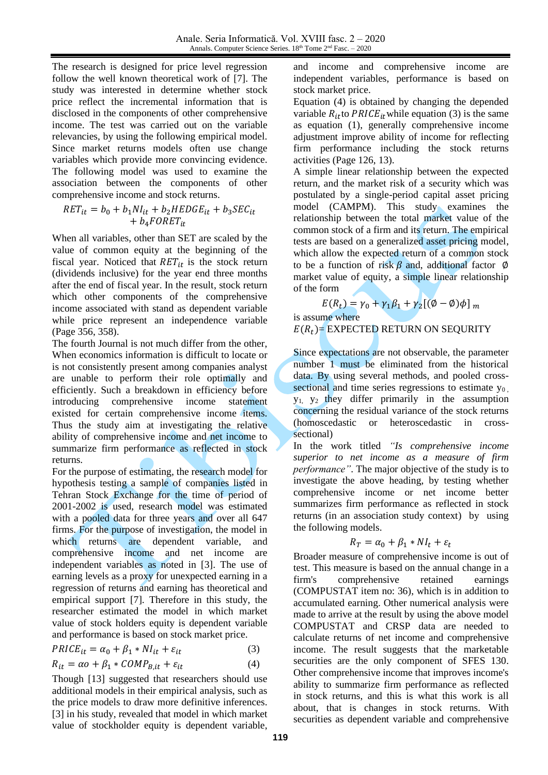The research is designed for price level regression follow the well known theoretical work of [\[7\].](#page-4-7) The study was interested in determine whether stock price reflect the incremental information that is disclosed in the components of other comprehensive income. The test was carried out on the variable relevancies, by using the following empirical model. Since market returns models often use change variables which provide more convincing evidence. The following model was used to examine the association between the components of other comprehensive income and stock returns.

$$
RET_{it} = b_0 + b_1NI_{it} + b_2HEDGE_{it} + b_3SEC_{it}
$$

$$
+ b_4 FORET_{it}
$$

When all variables, other than SET are scaled by the value of common equity at the beginning of the fiscal year. Noticed that  $RET_{it}$  is the stock return (dividends inclusive) for the year end three months after the end of fiscal year. In the result, stock return which other components of the comprehensive income associated with stand as dependent variable while price represent an independence variable (Page 356, 358).

The fourth Journal is not much differ from the other, When economics information is difficult to locate or is not consistently present among companies analyst are unable to perform their role optimally and efficiently. Such a breakdown in efficiency before introducing comprehensive income statement existed for certain comprehensive income items. Thus the study aim at investigating the relative ability of comprehensive income and net income to summarize firm performance as reflected in stock returns.

For the purpose of estimating, the research model for hypothesis testing a sample of companies listed in Tehran Stock Exchange for the time of period of 2001-2002 is used, research model was estimated with a pooled data for three years and over all 647 firms. For the purpose of investigation, the model in which returns are dependent variable, and comprehensive income and net income are independent variables as noted in [\[3\].](#page-4-6) The use of earning levels as a proxy for unexpected earning in a regression of returns and earning has theoretical and empirical support [\[7\].](#page-4-7) Therefore in this study, the researcher estimated the model in which market value of stock holders equity is dependent variable and performance is based on stock market price.

$$
PRICE_{it} = \alpha_0 + \beta_1 * NI_{it} + \varepsilon_{it}
$$
 (3)

$$
R_{it} = \alpha o + \beta_1 * COMP_{B, it} + \varepsilon_{it}
$$
 (4)

Though [\[13\]](#page-4-11) suggested that researchers should use additional models in their empirical analysis, such as the price models to draw more definitive inferences. [\[3\]](#page-4-6) in his study, revealed that model in which market value of stockholder equity is dependent variable, and income and comprehensive income are independent variables, performance is based on stock market price.

Equation (4) is obtained by changing the depended variable  $R_{it}$  to PRICE<sub>it</sub> while equation (3) is the same as equation (1), generally comprehensive income adjustment improve ability of income for reflecting firm performance including the stock returns activities (Page 126, 13).

A simple linear relationship between the expected return, and the market risk of a security which was postulated by a single-period capital asset pricing model (CAMPM). This study examines the relationship between the total market value of the common stock of a firm and its return. The empirical tests are based on a generalized asset pricing model, which allow the expected return of a common stock to be a function of risk  $\beta$  and, additional factor  $\varnothing$ market value of equity, a simple linear relationship of the form

$$
E(R_t) = \gamma_0 + \gamma_1 \beta_1 + \gamma_2 [(\emptyset - \emptyset)\phi]_m
$$

is assume where

## $E(R_t)$  EXPECTED RETURN ON SEQURITY

Since expectations are not observable, the parameter number 1 must be eliminated from the historical data. By using several methods, and pooled crosssectional and time series regressions to estimate  $y_0$ .  $y_1$ ,  $y_2$  they differ primarily in the assumption concerning the residual variance of the stock returns (homoscedastic or heteroscedastic in crosssectional)

In the work titled *"Is comprehensive income superior to net income as a measure of firm performance"*. The major objective of the study is to investigate the above heading, by testing whether comprehensive income or net income better summarizes firm performance as reflected in stock returns (in an association study context) by using the following models.

$$
R_T = \alpha_0 + \beta_1 * NI_t + \varepsilon_t
$$

Broader measure of comprehensive income is out of test. This measure is based on the annual change in a firm's comprehensive retained earnings (COMPUSTAT item no: 36), which is in addition to accumulated earning. Other numerical analysis were made to arrive at the result by using the above model COMPUSTAT and CRSP data are needed to calculate returns of net income and comprehensive income. The result suggests that the marketable securities are the only component of SFES 130. Other comprehensive income that improves income's ability to summarize firm performance as reflected in stock returns, and this is what this work is all about, that is changes in stock returns. With securities as dependent variable and comprehensive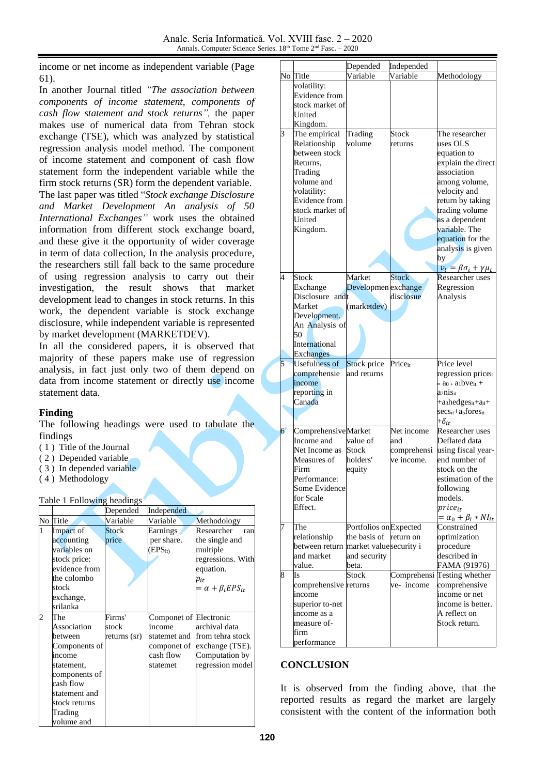income or net income as independent variable (Page 61).

In another Journal titled *"The association between components of income statement, components of cash flow statement and stock returns",* the paper makes use of numerical data from Tehran stock exchange (TSE), which was analyzed by statistical regression analysis model method. The component of income statement and component of cash flow statement form the independent variable while the firm stock returns (SR) form the dependent variable. The last paper was titled "*Stock exchange Disclosure* 

*and Market Development An analysis of 50 International Exchanges"* work uses the obtained information from different stock exchange board, and these give it the opportunity of wider coverage in term of data collection, In the analysis procedure, the researchers still fall back to the same procedure of using regression analysis to carry out their investigation, the result shows that market development lead to changes in stock returns. In this work, the dependent variable is stock exchange disclosure, while independent variable is represented by market development (MARKETDEV).

In all the considered papers, it is observed that majority of these papers make use of regression analysis, in fact just only two of them depend on data from income statement or directly use income statement data.

### **Finding**

The following headings were used to tabulate the findings

- ( 1 ) Title of the Journal
- ( 2 ) Depended variable
- ( 3 ) In depended variable
- ( 4 ) Methodology

#### Table 1 Following headings

|   |               | Depended     | Independed             |                               |
|---|---------------|--------------|------------------------|-------------------------------|
|   | No Title      | Variable     | Variable               | Methodology                   |
| 1 | Impact of     | <b>Stock</b> | Earnings               | Researcher<br>ran             |
|   | accounting    | price        | per share.             | the single and                |
|   | variables on  |              | $(EPS_{it})$           | multiple                      |
|   | stock price:  |              |                        | regressions. With             |
|   | evidence from |              |                        | equation.                     |
|   | the colombo   |              |                        | $p_{it}$                      |
|   | stock         |              |                        | $= \alpha + \beta_i EPS_{it}$ |
|   | exchange,     |              |                        |                               |
|   | srilanka      |              |                        |                               |
| 2 | The           | Firms'       | Componet of Electronic |                               |
|   | Association   | stock        | income                 | archival data                 |
|   | between       | returns (sr) |                        | statemet and from tehra stock |
|   | Components of |              |                        | componet of exchange (TSE).   |
|   | income        |              | cash flow              | Computation by                |
|   | statement,    |              | statemet               | regression model              |
|   | components of |              |                        |                               |
|   | cash flow     |              |                        |                               |
|   | statement and |              |                        |                               |
|   | stock returns |              |                        |                               |
|   | Trading       |              |                        |                               |
|   | volume and    |              |                        |                               |

|   |                                       | Depended               | Independed        |                                                         |
|---|---------------------------------------|------------------------|-------------------|---------------------------------------------------------|
|   | No Title                              | Variable               | Variable          | Methodology                                             |
|   | volatility:                           |                        |                   |                                                         |
|   | Evidence from                         |                        |                   |                                                         |
|   | stock market of                       |                        |                   |                                                         |
|   | United                                |                        |                   |                                                         |
|   | Kingdom.                              |                        |                   |                                                         |
| 3 | The empirical                         | Trading                | Stock             | The researcher                                          |
|   | Relationship                          | volume                 | returns           | uses OLS                                                |
|   | between stock                         |                        |                   | equation to                                             |
|   | Returns.                              |                        |                   | explain the direct                                      |
|   | Trading                               |                        |                   | association                                             |
|   |                                       |                        |                   |                                                         |
|   | volume and                            |                        |                   | among volume,                                           |
|   | volatility:                           |                        |                   | velocity and                                            |
|   | Evidence from                         |                        |                   | return by taking                                        |
|   | stock market of                       |                        |                   | trading volume                                          |
|   | United                                |                        |                   | as a dependent                                          |
|   | Kingdom.                              |                        |                   | variable. The                                           |
|   |                                       |                        |                   | equation for the                                        |
|   |                                       |                        |                   | analysis is given                                       |
|   |                                       |                        |                   | by                                                      |
|   |                                       |                        |                   | $v_t = \beta \sigma_i + \gamma \mu_t$                   |
| 4 | <b>Stock</b>                          | Market                 | <b>Stock</b>      | Researcher uses                                         |
|   | Exchange                              | Developmen exchange    |                   | Regression                                              |
|   | Disclosure andt                       |                        | disclosue         | Analysis                                                |
|   | Market                                | (marketdev)            |                   |                                                         |
|   | Development.                          |                        |                   |                                                         |
|   | An Analysis of                        |                        |                   |                                                         |
|   | 50                                    |                        |                   |                                                         |
|   | International                         |                        |                   |                                                         |
|   | <b>Exchanges</b>                      |                        |                   |                                                         |
|   |                                       |                        |                   |                                                         |
| 5 | <b>Usefulness of</b>                  | Stock price            | Priceit           | Price level                                             |
|   | comprehensie                          | and returns            |                   | regression priceit                                      |
|   | income                                |                        |                   | $=$ a <sub>0</sub> + a <sub>1</sub> bve <sub>it</sub> + |
|   | reporting in                          |                        |                   | a2nis <sub>it</sub>                                     |
|   | Canada                                |                        |                   | +a <sub>3</sub> hedges <sub>it</sub> +a <sub>4</sub> +  |
|   |                                       |                        |                   | secsit+asforesit                                        |
|   |                                       |                        |                   | $+\delta_{it}$                                          |
|   |                                       |                        |                   | Researcher uses                                         |
| 6 | Comprehensive Market<br>Income and    | value of               | Net income<br>and | Deflated data                                           |
|   | Net Income as                         | Stock                  |                   |                                                         |
|   | Measures of                           | holders'               | comprehensi       | using fiscal year-<br>end number of                     |
|   | Firm                                  |                        | ve income.        | stock on the                                            |
|   |                                       | equity                 |                   |                                                         |
|   | Performance:                          |                        |                   | estimation of the                                       |
|   | Some Evidence                         |                        |                   | following                                               |
|   | for Scale                             |                        |                   | models.                                                 |
|   | Effect.                               |                        |                   | $price_{it}$                                            |
|   |                                       |                        |                   | $= \alpha_0 + \beta_l * NI_{it}$                        |
| 7 | The                                   | Portfolios on Expected |                   | Constrained                                             |
|   | relationship                          | the basis of           | return on         | optimization                                            |
|   | between return market valuesecurity i |                        |                   | procedure                                               |
|   | and market                            | and security           |                   | described in                                            |
|   | value.                                | beta.                  |                   | FAMA (91976)                                            |
| 8 | Is                                    | Stock                  |                   | Comprehensi Testing whether                             |
|   | comprehensive returns                 |                        | ve-income         | comprehensive                                           |
|   | income                                |                        |                   | income or net                                           |
|   | superior to-net                       |                        |                   | income is better.                                       |
|   | income as a                           |                        |                   | A reflect on                                            |
|   | measure of-                           |                        |                   | Stock return.                                           |
|   | firm<br>performance                   |                        |                   |                                                         |

### **CONCLUSION**

It is observed from the finding above, that the reported results as regard the market are largely consistent with the content of the information both